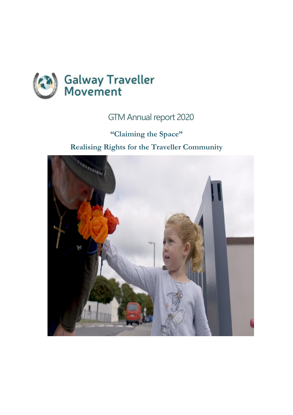

# GTM Annual report 2020

**"Claiming the Space" Realising Rights for the Traveller Community**

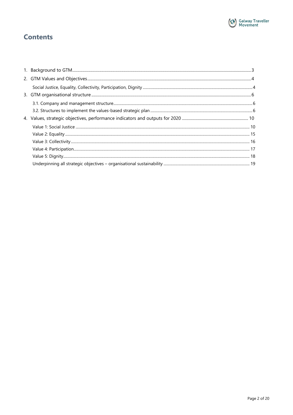

## **Contents**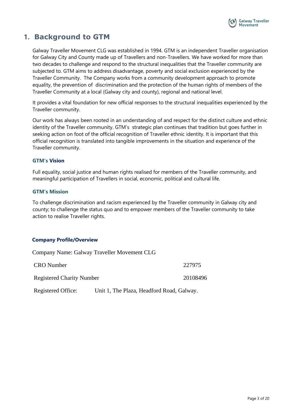

## <span id="page-2-0"></span>**1. Background to GTM**

Galway Traveller Movement CLG was established in 1994. GTM is an independent Traveller organisation for Galway City and County made up of Travellers and non-Travellers. We have worked for more than two decades to challenge and respond to the structural inequalities that the Traveller community are subjected to. GTM aims to address disadvantage, poverty and social exclusion experienced by the Traveller Community. The Company works from a community development approach to promote equality, the prevention of discrimination and the protection of the human rights of members of the Traveller Community at a local (Galway city and county), regional and national level.

It provides a vital foundation for new official responses to the structural inequalities experienced by the Traveller community.

Our work has always been rooted in an understanding of and respect for the distinct culture and ethnic identity of the Traveller community. GTM's strategic plan continues that tradition but goes further in seeking action on foot of the official recognition of Traveller ethnic identity. It is important that this official recognition is translated into tangible improvements in the situation and experience of the Traveller community.

### **GTM's Vision**

Full equality, social justice and human rights realised for members of the Traveller community, and meaningful participation of Travellers in social, economic, political and cultural life.

### **GTM's Mission**

To challenge discrimination and racism experienced by the Traveller community in Galway city and county; to challenge the status quo and to empower members of the Traveller community to take action to realise Traveller rights.

## **Company Profile/Overview**

|                                                                 | Company Name: Galway Traveller Movement CLG |          |
|-----------------------------------------------------------------|---------------------------------------------|----------|
| <b>CRO</b> Number                                               |                                             | 227975   |
| <b>Registered Charity Number</b>                                |                                             | 20108496 |
| Registered Office:<br>Unit 1, The Plaza, Headford Road, Galway. |                                             |          |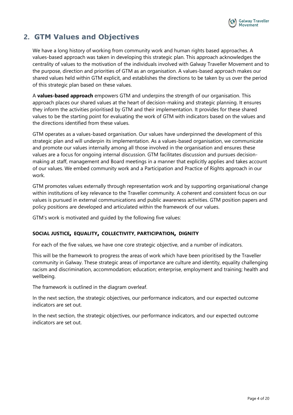

## <span id="page-3-0"></span>**2. GTM Values and Objectives**

We have a long history of working from community work and human rights based approaches. A values-based approach was taken in developing this strategic plan. This approach acknowledges the centrality of values to the motivation of the individuals involved with Galway Traveller Movement and to the purpose, direction and priorities of GTM as an organisation. A values-based approach makes our shared values held within GTM explicit, and establishes the directions to be taken by us over the period of this strategic plan based on these values.

A **values-based approach** empowers GTM and underpins the strength of our organisation. This approach places our shared values at the heart of decision-making and strategic planning. It ensures they inform the activities prioritised by GTM and their implementation. It provides for these shared values to be the starting point for evaluating the work of GTM with indicators based on the values and the directions identified from these values.

GTM operates as a values-based organisation. Our values have underpinned the development of this strategic plan and will underpin its implementation. As a values-based organisation, we communicate and promote our values internally among all those involved in the organisation and ensures these values are a focus for ongoing internal discussion. GTM facilitates discussion and pursues decisionmaking at staff, management and Board meetings in a manner that explicitly applies and takes account of our values. We embed community work and a Participation and Practice of Rights approach in our work.

GTM promotes values externally through representation work and by supporting organisational change within institutions of key relevance to the Traveller community. A coherent and consistent focus on our values is pursued in external communications and public awareness activities. GTM position papers and policy positions are developed and articulated within the framework of our values.

GTM's work is motivated and guided by the following five values:

## <span id="page-3-1"></span>**SOCIAL JUSTICE, EQUALITY, COLLECTIVITY, PARTICIPATION, DIGNITY**

For each of the five values, we have one core strategic objective, and a number of indicators.

This will be the framework to progress the areas of work which have been prioritised by the Traveller community in Galway. These strategic areas of importance are culture and identity, equality challenging racism and discrimination, accommodation; education; enterprise, employment and training; health and wellbeing.

The framework is outlined in the diagram overleaf.

In the next section, the strategic objectives, our performance indicators, and our expected outcome indicators are set out.

In the next section, the strategic objectives, our performance indicators, and our expected outcome indicators are set out.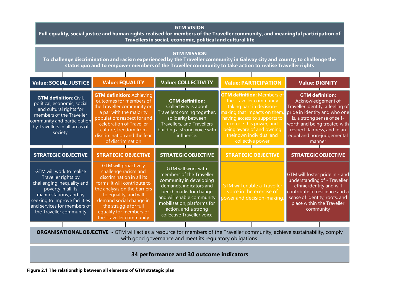#### **GTM VISION**

**Full equality, social justice and human rights realised for members of the Traveller community, and meaningful participation of Travellers in social, economic, political and cultural life**

#### **GTM MISSION**

**To challenge discrimination and racism experienced by the Traveller community in Galway city and county; to challenge the status quo and to empower members of the Traveller community to take action to realise Traveller rights**

| Value: SOCIAL JUSTICE                                                                                                                                                                                                    | <b>Value: EQUALITY</b>                                                                                                                                                                                                                                                              | <b>Value: COLLECTIVITY</b>                                                                                                                                                                                                                       | <b>Value: PARTICIPATION</b>                                                                                                                                                                                                                                      | <b>Value: DIGNITY</b>                                                                                                                                                                                                                                   |
|--------------------------------------------------------------------------------------------------------------------------------------------------------------------------------------------------------------------------|-------------------------------------------------------------------------------------------------------------------------------------------------------------------------------------------------------------------------------------------------------------------------------------|--------------------------------------------------------------------------------------------------------------------------------------------------------------------------------------------------------------------------------------------------|------------------------------------------------------------------------------------------------------------------------------------------------------------------------------------------------------------------------------------------------------------------|---------------------------------------------------------------------------------------------------------------------------------------------------------------------------------------------------------------------------------------------------------|
| <b>GTM definition: Civil,</b><br>political, economic, social<br>and cultural rights for<br>members of the Traveller<br>community and participation<br>by Travellers in all areas of<br>society.                          | <b>GTM definition: Achieving</b><br>outcomes for members of<br>the Traveller community on<br>a par with the majority<br>population; respect for and<br>celebration of Traveller<br>culture; freedom from<br>discrimination and the fear<br>of discrimination                        | <b>GTM definition:</b><br>Collectivity is about<br>Travellers coming together,<br>solidarity between<br>Travellers, and Travellers<br>building a strong voice with<br>influence.                                                                 | <b>GTM definition: Members of</b><br>the Traveller community<br>taking part in decision-<br>making that impacts on them<br>having access to supports to<br>exercise this power, and<br>being aware of and owning<br>their own individual and<br>collective power | <b>GTM definition:</b><br>Acknowledgement of<br>Traveller identity, a feeling of<br>pride in identity and who one<br>is, a strong sense of self-<br>worth and being treated with<br>respect, fairness, and in an<br>equal and non-judgemental<br>manner |
| <b>STRATEGIC OBJECTIVE</b>                                                                                                                                                                                               | <b>STRATEGIC OBJECTIVE</b>                                                                                                                                                                                                                                                          | <b>STRATEGIC OBJECTIVE</b>                                                                                                                                                                                                                       | <b>STRATEGIC OBJECTIVE</b>                                                                                                                                                                                                                                       | <b>STRATEGIC OBJECTIVE</b>                                                                                                                                                                                                                              |
| GTM will work to realise<br>Traveller rights by<br>challenging inequality and<br>poverty in all its<br>manifestations, and by<br>seeking to improve facilities<br>and services for members of<br>the Traveller community | <b>GTM will proactively</b><br>challenge racism and<br>discrimination in all its<br>forms, it will contribute to<br>the analysis on the barriers<br>to equality, and will<br>demand social change in<br>the struggle for full<br>equality for members of<br>the Traveller community | GTM will work with<br>members of the Traveller<br>community in developing<br>demands, indicators and<br>bench marks for change<br>and will enable community<br>mobilisation, platforms for<br>action, and a strong<br>collective Traveller voice | <b>GTM will enable a Traveller</b><br>voice in the exercise of<br>oower and decision-making.                                                                                                                                                                     | GTM will foster pride in - and<br>understanding of - Traveller<br>ethnic identity and will<br>contribute to resilience and a<br>sense of identity, roots, and<br>place within the Traveller<br>community                                                |
|                                                                                                                                                                                                                          |                                                                                                                                                                                                                                                                                     |                                                                                                                                                                                                                                                  |                                                                                                                                                                                                                                                                  |                                                                                                                                                                                                                                                         |

**ORGANISATIONAL OBJECTIVE -** GTM will act as a resource for members of the Traveller community, achieve sustainability, comply with good governance and meet its regulatory obligations.

## **34 performance and 30 outcome indicators**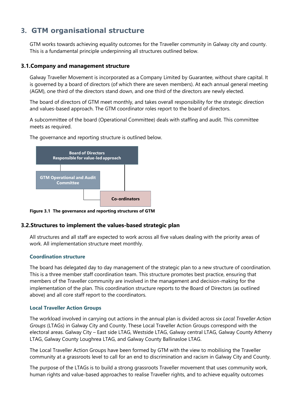## <span id="page-5-0"></span>**3. GTM organisational structure**

GTM works towards achieving equality outcomes for the Traveller community in Galway city and county. This is a fundamental principle underpinning all structures outlined below.

### <span id="page-5-1"></span>**3.1.Company and management structure**

Galway Traveller Movement is incorporated as a Company Limited by Guarantee, without share capital. It is governed by a board of directors (of which there are seven members). At each annual general meeting (AGM), one third of the directors stand down, and one third of the directors are newly elected.

The board of directors of GTM meet monthly, and takes overall responsibility for the strategic direction and values-based approach. The GTM coordinator roles report to the board of directors.

A subcommittee of the board (Operational Committee) deals with staffing and audit. This committee meets as required.



The governance and reporting structure is outlined below.

**Figure 3.1 The governance and reporting structures of GTM**

#### <span id="page-5-2"></span>**3.2.Structures to implement the values-based strategic plan Values Planning**

All structures and all staff are expected to work across all five values dealing with the priority areas of work. All implementation structure meet monthly. **Groups (LTAGs)** *meet*  **Team** *meets monthly* 

## **Coordination structure**

The board has delegated day to day management of the strategic plan to a new structure of coordination. This is a three member staff coordination team. This structure promotes best practice, ensuring that members of the Traveller community are involved in the management and decision-making for the implementation of the plan. This coordination structure reports to the Board of Directors (as outlined above) and all core staff report to the coordinators.

## **Local Traveller Action Groups**

The workload involved in carrying out actions in the annual plan is divided across six *Local Traveller Action Groups* (LTAGs) in Galway City and County. These Local Traveller Action Groups correspond with the electoral areas. Galway City – East side LTAG, Westside LTAG, Galway central LTAG, Galway County Athenry LTAG, Galway County Loughrea LTAG, and Galway County Ballinasloe LTAG.

The Local Traveller Action Groups have been formed by GTM with the view to mobilising the Traveller community at a grassroots level to call for an end to discrimination and racism in Galway City and County.

The purpose of the LTAGs is to build a strong grassroots Traveller movement that uses community work, human rights and value-based approaches to realise Traveller rights, and to achieve equality outcomes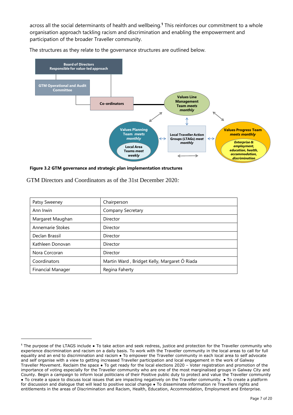across all the social determinants of health and wellbeing.**<sup>1</sup>** This reinforces our commitment to a whole organisation approach tackling racism and discrimination and enabling the empowerment and participation of the broader Traveller community.





**Figure 3.2 GTM governance and strategic plan implementation structures**

GTM Directors and Coordinators as of the 31st December 2020*:*

| Patsy Sweeney            | Chairperson                                  |
|--------------------------|----------------------------------------------|
| Ann Irwin                | Company Secretary                            |
| Margaret Maughan         | Director                                     |
| Annemarie Stokes         | Director                                     |
| Declan Brassil           | Director                                     |
| Kathleen Donovan         | Director                                     |
| Nora Corcoran            | Director                                     |
| Coordinators             | Martin Ward, Bridget Kelly, Margaret Ó Riada |
| <b>Financial Manager</b> | Regina Faherty                               |

**<sup>1</sup>** The purpose of the LTAGS include ● To take action and seek redress, justice and protection for the Traveller community who experience discrimination and racism on a daily basis. To work with the Traveller community in the local areas to call for full equality and an end to discrimination and racism • To empower the Traveller community in each local area to self advocate and self organise with a view to getting increased Traveller participation and local engagement in the work of Galway Traveller Movement. Reclaim the space ● To get ready for the local elections 2020 – Voter registration and promotion of the importance of voting especially for the Traveller community who are one of the most marginalised groups in Galway City and County. Begin a campaign to inform local politicians of their Positive public duty to protect and value the Traveller community ● To create a space to discuss local issues that are impacting negatively on the Traveller community. ● To create a platform for discussion and dialogue that will lead to positive social change • To disseminate information re Travellers rights and entitlements in the areas of Discrimination and Racism, Health, Education, Accommodation, Employment and Enterprise.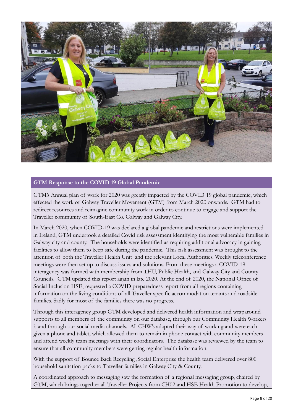

## **GTM Response to the COVID 19 Global Pandemic**

GTM's Annual plan of work for 2020 was greatly impacted by the COVID 19 global pandemic, which effected the work of Galway Traveller Movement (GTM) from March 2020 onwards. GTM had to redirect resources and reimagine community work in order to continue to engage and support the Traveller community of South-East Co. Galway and Galway City.

In March 2020, when COVID-19 was declared a global pandemic and restrictions were implemented in Ireland, GTM undertook a detailed Covid risk assessment identifying the most vulnerable families in Galway city and county. The households were identified as requiring additional advocacy in gaining facilities to allow them to keep safe during the pandemic. This risk assessment was brought to the attention of both the Traveller Health Unit and the relevant Local Authorities. Weekly teleconference meetings were then set up to discuss issues and solutions. From these meetings a COVID-19 interagency was formed with membership from THU, Public Health, and Galway City and County Councils. GTM updated this report again in late 2020. At the end of 2020, the National Office of Social Inclusion HSE, requested a COVID preparedness report from all regions containing information on the living conditions of all Traveller specific accommodation tenants and roadside families. Sadly for most of the families there was no progress.

Through this interagency group GTM developed and delivered health information and wraparound supports to all members of the community on our database, through our Community Health Workers 's and through our social media channels. All CHW's adapted their way of working and were each given a phone and tablet, which allowed them to remain in phone contact with community members and attend weekly team meetings with their coordinators. The database was reviewed by the team to ensure that all community members were getting regular health information.

With the support of Bounce Back Recycling ,Social Enterprise the health team delivered over 800 household sanitation packs to Traveller families in Galway City & County.

A coordinated approach to messaging saw the formation of a regional messaging group, chaired by GTM, which brings together all Traveller Projects from CH02 and HSE Health Promotion to develop,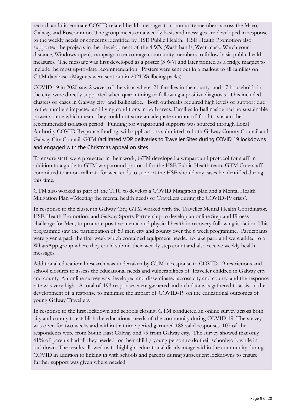record, and disseminate COVID related health messages to community members across the Mayo, Galway, and Roscommon. The group meets on a weekly basis and messages are developed in response to the weekly needs or concerns identified by HSE Public Health. HSE Health Promotion also supported the projects in the development of the 4 W's (Wash hands, Wear mask, Watch your distance, Windows open), campaign to encourage community members to follow basic public health measures. The message was first developed as a poster (3 W's) and later printed as a fridge magnet to include the most up-to-date recommendation. Posters were sent out in a mailout to all families on GTM database. (Magnets were sent out in 2021 Wellbeing packs).

COVID 19 in 2020 saw 2 waves of the virus where 21 families in the county and 17 households in the city were directly supported when quarantining or following a positive diagnosis. This included clusters of cases in Galway city and Ballinasloe. Both outbreaks required high levels of support due to the numbers impacted and living conditions in both areas. Families in Ballinasloe had no sustainable power source which meant they could not store an adequate amount of food to sustain the recommended isolation period. Funding for wraparound supports was sourced through Local Authority COVID Response funding, with applications submitted to both Galway County Council and Galway City Council. GTM facilitated VDP deliveries to Traveller Sites during COVID 19 lockdowns and engaged with the Christmas appeal on sites

To ensure staff were protected in their work, GTM developed a wraparound protocol for staff in addition to a guide to GTM wraparound protocol for the HSE Public Health team. GTM Core staff committed to an on-call rota for weekends to support the HSE should any cases be identified during this time.

GTM also worked as part of the THU to develop a COVID Mitigation plan and a Mental Health Mitigation Plan –'Meeting the mental health needs of Travellers during the COVID-19 crisis'.

In response to the cluster in Galway City, GTM worked with the Traveller Mental Health Coordinator, HSE Health Promotion, and Galway Sports Partnership to develop an online Step and Fitness challenge for Men, to promote positive mental and physical health in recovery following isolation. This programme saw the participation of 50 men city and county over the 6 week programme. Participants were given a pack the first week which contained equipment needed to take part, and were added to a WhatsApp group where they could submit their weekly step count and also receive weekly health messages.

Additional educational research was undertaken by GTM in response to COVID-19 restrictions and school closures to assess the educational needs and vulnerabilities of Traveller children in Galway city and county. An online survey was developed and disseminated across city and county, and the response rate was very high. A total of 193 responses were garnered and rich data was gathered to assist in the development of a response to minimise the impact of COVID-19 on the educational outcomes of young Galway Travellers.

In response to the first lockdown and schools closing, GTM conducted an online survey across both city and county to establish the educational needs of the community during COVID-19. The survey was open for two weeks and within that time period garnered 188 valid responses. 107 of the respondents were from South East Galway and 79 from Galway city. The survey showed that only 41% of parents had all they needed for their child / young person to do their schoolwork while in lockdown. The results allowed us to highlight educational disadvantage within the community during COVID in addition to linking in with schools and parents during subsequent lockdowns to ensure further support was given where needed.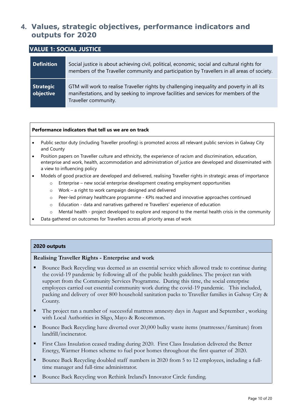## <span id="page-9-0"></span>**4. Values, strategic objectives, performance indicators and outputs for 2020**

<span id="page-9-1"></span>

| <b>VALUE 1: SOCIAL JUSTICE</b> |                                                                                                                                                                                                            |  |
|--------------------------------|------------------------------------------------------------------------------------------------------------------------------------------------------------------------------------------------------------|--|
| <b>Definition</b>              | Social justice is about achieving civil, political, economic, social and cultural rights for<br>members of the Traveller community and participation by Travellers in all areas of society.                |  |
| Strategic<br>objective         | GTM will work to realise Traveller rights by challenging inequality and poverty in all its<br>manifestations, and by seeking to improve facilities and services for members of the<br>Traveller community. |  |

### **Performance indicators that tell us we are on track**

- Public sector duty (including Traveller proofing) is promoted across all relevant public services in Galway City and County
- Position papers on Traveller culture and ethnicity, the experience of racism and discrimination, education, enterprise and work, health, accommodation and administration of justice are developed and disseminated with a view to influencing policy
- Models of good practice are developed and delivered, realising Traveller rights in strategic areas of importance
	- o Enterprise new social enterprise development creating employment opportunities
	- o Work a right to work campaign designed and delivered
	- o Peer-led primary healthcare programme KPIs reached and innovative approaches continued
	- o Education data and narratives gathered re Travellers' experience of education
	- o Mental health project developed to explore and respond to the mental health crisis in the community
- Data gathered on outcomes for Travellers across all priority areas of work

## **2020 outputs**

#### **Realising Traveller Rights - Enterprise and work**

- Bounce Back Recycling was deemed as an essential service which allowed trade to continue during the covid-19 pandemic by following all of the public health guidelines. The project ran with support from the Community Services Programme. During this time, the social enterprise employees carried out essential community work during the covid-19 pandemic. This included, packing and delivery of over 800 household sanitation packs to Traveller families in Galway City & County.
- The project ran a number of successful mattress amnesty days in August and September, working with Local Authorities in Sligo, Mayo & Roscommon.
- Bounce Back Recycling have diverted over 20,000 bulky waste items (mattresses/furniture) from landfill/incinerator.
- First Class Insulation ceased trading during 2020. First Class Insulation delivered the Better Energy, Warmer Homes scheme to fuel poor homes throughout the first quarter of 2020.
- Bounce Back Recycling doubled staff numbers in 2020 from 5 to 12 employees, including a fulltime manager and full-time administrator.
- Bounce Back Recycling won Rethink Ireland's Innovator Circle funding.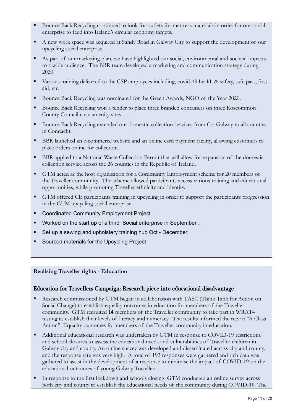- Bounce Back Recycling continued to look for outlets for mattress materials in order for our social enterprise to feed into Ireland's circular economy targets.
- A new work space was acquired at Sandy Road in Galway City to support the development of our upcycling social enterprise.
- As part of our marketing plan, we have highlighted our social, environmental and societal impacts to a wide audience. The BBR team developed a marketing and communication strategy during 2020.
- Various training delivered to the CSP employees including, covid-19 health & safety, safe pass, first aid, etc.
- Bounce Back Recycling was nominated for the Green Awards, NGO of the Year 2020.
- Bounce Back Recycling won a tender to place three branded containers on three Roscommon County Council civic amenity sites.
- Bounce Back Recycling extended our domestic collection services from Co. Galway to all counties in Connacht.
- BBR launched an e-commerce website and an online card payment facility, allowing customers to place orders online for collection.
- BBR applied to a National Waste Collection Permit that will allow for expansion of the domestic collection service across the 26 counties in the Republic of Ireland.
- GTM acted as the host organisation for a Community Employment scheme for 20 members of the Traveller community. The scheme allowed participants access various training and educational opportunities, while promoting Traveller ethnicity and identity.
- GTM offered CE participants training in upcycling in order to support the participants progression in the GTM upcycling social enterprise.
- Coordinated Community Employment Project.
- Worked on the start up of a third Social enterprise in September.
- Set up a sewing and upholstery training hub Oct December
- Sourced materials for the Upcycling Project

## **Realising Traveller rights - Education**

## Education for Travellers Campaign: Research piece into educational disadvantage

- Research commissioned by GTM began in collaboration with TASC (Think Tank for Action on Social Change) to establish equality outcomes in education for members of the Traveller community. GTM recruited **14** members of the Traveller community to take part in WRAT4 testing to establish their levels of literacy and numeracy. The results informed the report "A Class Action": Equality outcomes for members of the Traveller community in education.
- Additional educational research was undertaken by GTM in response to COVID-19 restrictions and school closures to assess the educational needs and vulnerabilities of Traveller children in Galway city and county. An online survey was developed and disseminated across city and county, and the response rate was very high. A total of 193 responses were garnered and rich data was gathered to assist in the development of a response to minimise the impact of COVID-19 on the educational outcomes of young Galway Travellers.
- In response to the first lockdown and schools closing, GTM conducted an online survey across both city and county to establish the educational needs of the community during COVID-19. The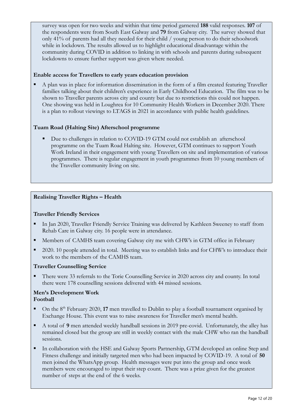survey was open for two weeks and within that time period garnered **188** valid responses. **107** of the respondents were from South East Galway and **79** from Galway city. The survey showed that only 41% of parents had all they needed for their child / young person to do their schoolwork while in lockdown. The results allowed us to highlight educational disadvantage within the community during COVID in addition to linking in with schools and parents during subsequent lockdowns to ensure further support was given where needed.

## **Enable access for Travellers to early years education provision**

A plan was in place for information dissemination in the form of a film created featuring Traveller families talking about their children's experience in Early Childhood Education. The film was to be shown to Traveller parents across city and county but due to restrictions this could not happen. One showing was held in Loughrea for 10 Community Health Workers in December 2020. There is a plan to rollout viewings to LTAGS in 2021 in accordance with public health guidelines.

## **Tuam Road (Halting Site) Afterschool programme**

Due to challenges in relation to COVID-19 GTM could not establish an afterschool programme on the Tuam Road Halting site. However, GTM continues to support Youth Work Ireland in their engagement with young Travellers on site and implementation of various programmes. There is regular engagement in youth programmes from 10 young members of the Traveller community living on site.

## **Realising Traveller Rights – Health**

## **Traveller Friendly Services**

- In Jan 2020, Traveller Friendly Service Training was delivered by Kathleen Sweeney to staff from Rehab Care in Galway city. 16 people were in attendance.
- Members of CAMHS team covering Galway city me with CHW's in GTM office in February
- 2020. 10 people attended in total. Meeting was to establish links and for CHW's to introduce their work to the members of the CAMHS team.

## **Traveller Counselling Service**

There were 33 referrals to the Torie Counselling Service in 2020 across city and county. In total there were 178 counselling sessions delivered with 44 missed sessions.

### **Men's Development Work Football**

- On the 8<sup>th</sup> February 2020, 17 men travelled to Dublin to play a football tournament organised by Exchange House. This event was to raise awareness for Traveller men's mental health.
- A total of 9 men attended weekly handball sessions in 2019 pre-covid. Unfortunately, the alley has remained closed but the group are still in weekly contact with the male CHW who ran the handball sessions.
- In collaboration with the HSE and Galway Sports Partnership, GTM developed an online Step and Fitness challenge and initially targeted men who had been impacted by COVID-19. A total of **50** men joined the WhatsApp group. Health messages were put into the group and once week members were encouraged to input their step count. There was a prize given for the greatest number of steps at the end of the 6 weeks.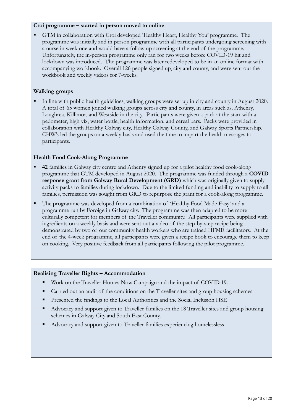### **Croi programme – started in person moved to online**

GTM in collaboration with Croi developed 'Healthy Heart, Healthy You' programme. The programme was initially and in person programme with all participants undergoing screening with a nurse in week one and would have a follow up screening at the end of the programme. Unfortunately, the in-person programme only ran for two weeks before COVID-19 hit and lockdown was introduced. The programme was later redeveloped to be in an online format with accompanying workbook. Overall 126 people signed up, city and county, and were sent out the workbook and weekly videos for 7-weeks.

## **Walking groups**

In line with public health guidelines, walking groups were set up in city and county in August 2020. A total of 65 women joined walking groups across city and county, in areas such as, Athenry, Loughrea, Killimor, and Westside in the city. Participants were given a pack at the start with a pedometer, high viz, water bottle, health information, and cereal bars. Packs were provided in collaboration with Healthy Galway city, Healthy Galway County, and Galway Sports Partnership. CHW's led the groups on a weekly basis and used the time to impart the health messages to participants.

## **Health Food Cook-Along Programme**

- **42** families in Galway city centre and Athenry signed up for a pilot healthy food cook-along programme that GTM developed in August 2020. The programme was funded through a **COVID response grant from Galway Rural Development (GRD)** which was originally given to supply activity packs to families during lockdown. Due to the limited funding and inability to supply to all families, permission was sought from GRD to repurpose the grant for a cook-along programme.
- The programme was developed from a combination of 'Healthy Food Made Easy' and a programme run by Foroige in Galway city. The programme was then adapted to be more culturally competent for members of the Traveller community. All participants were supplied with ingredients on a weekly basis and were sent out a video of the step-by-step recipe being demonstrated by two of our community health workers who are trained HFME facilitators. At the end of the 4-week programme, all participants were given a recipe book to encourage them to keep on cooking. Very positive feedback from all participants following the pilot programme.

## **Realising Traveller Rights – Accommodation**

- Work on the Traveller Homes Now Campaign and the impact of COVID 19.
- Carried out an audit of the conditions on the Traveller sites and group housing schemes
- Presented the findings to the Local Authorities and the Social Inclusion HSE
- Advocacy and support given to Traveller families on the 18 Traveller sites and group housing schemes in Galway City and South East County.
- Advocacy and support given to Traveller families experiencing homelessless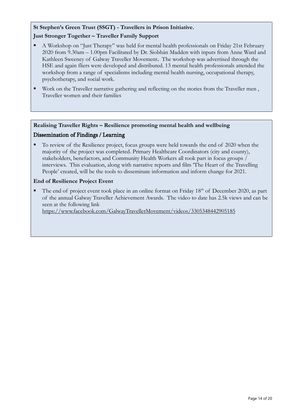## **St Stephen's Green Trust (SSGT) - Travellers in Prison Initiative.**

## **Just Stronger Together – Traveller Family Support**

- A Workshop on "Just Therapy" was held for mental health professionals on Friday 21st February 2020 from 9.30am – 1.00pm Facilitated by Dr. Siobhán Madden with inputs from Anne Ward and Kathleen Sweeney of Galway Traveller Movement**.** The workshop was advertised through the HSE and again fliers were developed and distributed. 13 mental health professionals attended the workshop from a range of specialisms including mental health nursing, occupational therapy, psychotherapy, and social work.
- Work on the Traveller narrative gathering and reflecting on the stories from the Traveller men, Traveller women and their families

## **Realising Traveller Rights – Resilience promoting mental health and wellbeing**

## Dissemination of Findings / Learning

To review of the Resilience project, focus groups were held towards the end of 2020 when the majority of the project was completed. Primary Healthcare Coordinators (city and county), stakeholders, benefactors, and Community Health Workers all took part in focus groups / interviews. This evaluation, along with narrative reports and film 'The Heart of the Travelling People' created, will be the tools to disseminate information and inform change for 2021.

## **End of Resilience Project Event**

The end of project event took place in an online format on Friday 18<sup>th</sup> of December 2020, as part of the annual Galway Traveller Achievement Awards. The video to date has 2.5k views and can be seen at the following link

<https://www.facebook.com/GalwayTravellerMovement/videos/3305348442905185>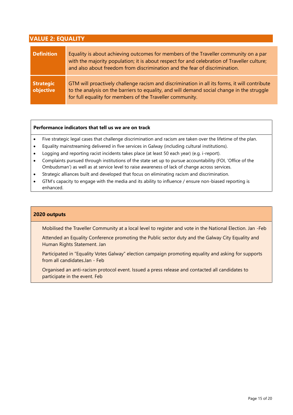<span id="page-14-0"></span>

| <b>VALUE 2: EQUALITY</b>      |                                                                                                                                                                                                                                                                   |  |
|-------------------------------|-------------------------------------------------------------------------------------------------------------------------------------------------------------------------------------------------------------------------------------------------------------------|--|
| <b>Definition</b>             | Equality is about achieving outcomes for members of the Traveller community on a par<br>with the majority population; it is about respect for and celebration of Traveller culture;<br>and also about freedom from discrimination and the fear of discrimination. |  |
| <b>Strategic</b><br>objective | GTM will proactively challenge racism and discrimination in all its forms, it will contribute<br>to the analysis on the barriers to equality, and will demand social change in the struggle<br>for full equality for members of the Traveller community.          |  |

#### **Performance indicators that tell us we are on track**

- Five strategic legal cases that challenge discrimination and racism are taken over the lifetime of the plan.
- Equality mainstreaming delivered in five services in Galway (including cultural institutions).
- Logging and reporting racist incidents takes place (at least 50 each year) (e.g. i-report).
- Complaints pursued through institutions of the state set up to pursue accountability (FOI, 'Office of the Ombudsman') as well as at service level to raise awareness of lack of change across services.
- Strategic alliances built and developed that focus on eliminating racism and discrimination.
- GTM's capacity to engage with the media and its ability to influence / ensure non-biased reporting is enhanced.

#### **2020 outputs**

Mobilised the Traveller Community at a local level to register and vote in the National Election. Jan -Feb

Attended an Equality Conference promoting the Public sector duty and the Galway City Equality and Human Rights Statement. Jan

Participated in "Equality Votes Galway" election campaign promoting equality and asking for supports from all candidates.Jan - Feb

Organised an anti-racism protocol event. Issued a press release and contacted all candidates to participate in the event. Feb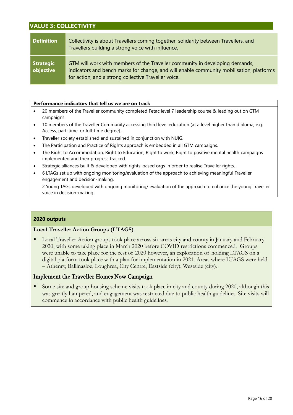## <span id="page-15-0"></span>**VALUE 3: COLLECTIVITY**

| <b>Definition</b>             | Collectivity is about Travellers coming together, solidarity between Travellers, and<br>Travellers building a strong voice with influence.                                                                                       |
|-------------------------------|----------------------------------------------------------------------------------------------------------------------------------------------------------------------------------------------------------------------------------|
| <b>Strategic</b><br>objective | GTM will work with members of the Traveller community in developing demands,<br>indicators and bench marks for change, and will enable community mobilisation, platforms<br>for action, and a strong collective Traveller voice. |

#### **Performance indicators that tell us we are on track**

- 20 members of the Traveller community completed Fetac level 7 leadership course & leading out on GTM campaigns.
- 10 members of the Traveller Community accessing third level education (at a level higher than diploma, e.g. Access, part-time, or full-time degree)..
- Traveller society established and sustained in conjunction with NUIG.
- The Participation and Practice of Rights approach is embedded in all GTM campaigns.
- The Right to Accommodation, Right to Education, Right to work, Right to positive mental health campaigns implemented and their progress tracked.
- Strategic alliances built & developed with rights-based orgs in order to realise Traveller rights.
- 6 LTAGs set up with ongoing monitoring/evaluation of the approach to achieving meaningful Traveller engagement and decision-making.

2 Young TAGs developed with ongoing monitoring/ evaluation of the approach to enhance the young Traveller voice in decision-making.

#### **2020 outputs**

#### **Local Traveller Action Groups (LTAGS)**

Local Traveller Action groups took place across six areas city and county in January and February 2020, with some taking place in March 2020 before COVID restrictions commenced. Groups were unable to take place for the rest of 2020 however, an exploration of holding LTAGS on a digital platform took place with a plan for implementation in 2021. Areas where LTAGS were held – Athenry, Ballinasloe, Loughrea, City Centre, Eastside (city), Westside (city).

#### Implement the Traveller Homes Now Campaign

Some site and group housing scheme visits took place in city and county during 2020, although this was greatly hampered, and engagement was restricted due to public health guidelines. Site visits will commence in accordance with public health guidelines.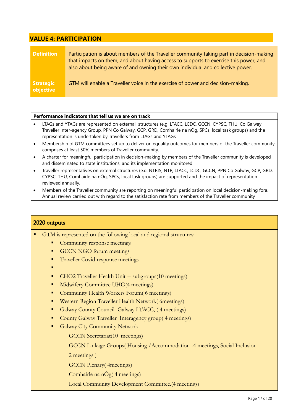## <span id="page-16-0"></span>**VALUE 4: PARTICIPATION**

| <b>Definition</b>             | Participation is about members of the Traveller community taking part in decision-making<br>that impacts on them, and about having access to supports to exercise this power, and<br>also about being aware of and owning their own individual and collective power. |
|-------------------------------|----------------------------------------------------------------------------------------------------------------------------------------------------------------------------------------------------------------------------------------------------------------------|
| <b>Strategic</b><br>objective | GTM will enable a Traveller voice in the exercise of power and decision-making.                                                                                                                                                                                      |

### **Performance indicators that tell us we are on track**

- LTAGs and YTAGs are represented on external structures (e.g. LTACC, LCDC, GCCN, CYPSC, THU, Co Galway Traveller Inter-agency Group, PPN Co Galway, GCP, GRD, Comhairle na nÓg, SPCs, local task groups) and the representation is undertaken by Travellers from LTAGs and YTAGs
- Membership of GTM committees set up to deliver on equality outcomes for members of the Traveller community comprises at least 50% members of Traveller community.
- A charter for meaningful participation in decision-making by members of the Traveller community is developed and disseminated to state institutions, and its implementation monitored
- Traveller representatives on external structures (e.g. NTRIS, NTP, LTACC, LCDC, GCCN, PPN Co Galway, GCP, GRD, CYPSC, THU, Comhairle na nÓg, SPCs, local task groups) are supported and the impact of representation reviewed annually.
- Members of the Traveller community are reporting on meaningful participation on local decision-making fora. Annual review carried out with regard to the satisfaction rate from members of the Traveller community

## 2020 outputs

- GTM is represented on the following local and regional structures:
	- Community response meetings
	- GCCN NGO forum meetings
	- **Traveller Covid response meetings**
	- ▪
	- CHO2 Traveller Health Unit + subgroups(10 meetings)
	- Midwifery Committee UHG(4 meetings)
	- Community Health Workers Forum (6 meetings)
	- Western Region Traveller Health Network( 6meetings)
	- Galway County Council Galway LTACC, (4 meetings)
	- County Galway Traveller Interagency group(4 meetings)
	- **E** Galway City Community Network
		- GCCN Secretariat(10 meetings)

GCCN Linkage Groups( Housing /Accommodation -4 meetings, Social Inclusion

2 meetings )

GCCN Plenary( 4meetings)

Comhairle na nÓg( 4 meetings)

Local Community Development Committee.(4 meetings)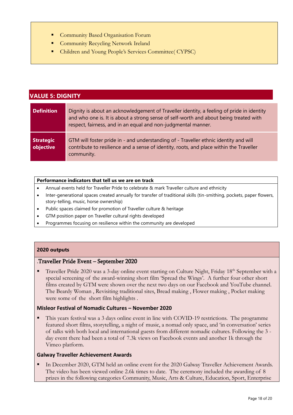- **Community Based Organisation Forum**
- Community Recycling Network Ireland
- Children and Young People's Services Committee( CYPSC)

<span id="page-17-0"></span>

| <b>VALUE 5: DIGNITY</b>       |                                                                                                                                                                                                                                                     |  |
|-------------------------------|-----------------------------------------------------------------------------------------------------------------------------------------------------------------------------------------------------------------------------------------------------|--|
| <b>Definition</b>             | Dignity is about an acknowledgement of Traveller identity, a feeling of pride in identity<br>and who one is. It is about a strong sense of self-worth and about being treated with<br>respect, fairness, and in an equal and non-judgmental manner. |  |
| <b>Strategic</b><br>objective | GTM will foster pride in - and understanding of - Traveller ethnic identity and will<br>contribute to resilience and a sense of identity, roots, and place within the Traveller<br>community.                                                       |  |

#### **Performance indicators that tell us we are on track**

- Annual events held for Traveller Pride to celebrate & mark Traveller culture and ethnicity
- Inter-generational spaces created annually for transfer of traditional skills (tin-smithing, pockets, paper flowers, story-telling, music, horse ownership)
- Public spaces claimed for promotion of Traveller culture & heritage
- GTM position paper on Traveller cultural rights developed
- Programmes focusing on resilience within the community are developed

#### **2020 outputs**

#### .Traveller Pride Event – September 2020

Traveller Pride 2020 was a 3-day online event starting on Culture Night, Friday 18<sup>th</sup> September with a special screening of the award-winning short film 'Spread the Wings'. A further four other short films created by GTM were shown over the next two days on our Facebook and YouTube channel. The Beardy Woman , Revisiting traditional sites, Bread making , Flower making , Pocket making were some of the short film highlights .

#### **Misleor Festival of Nomadic Cultures – November 2020**

▪ This years festival was a 3 days online event in line with COVID-19 restrictions. The programme featured short films, storytelling, a night of music, a nomad only space, and 'in conversation' series of talks with both local and international guests from different nomadic cultures. Following the 3 day event there had been a total of 7.3k views on Facebook events and another 1k through the Vimeo platform.

#### **Galway Traveller Achievement Awards**

In December 2020, GTM held an online event for the 2020 Galway Traveller Achievement Awards. The video has been viewed online 2.6k times to date. The ceremony included the awarding of 8 prizes in the following categories Community, Music, Arts & Culture, Education, Sport, Enterprise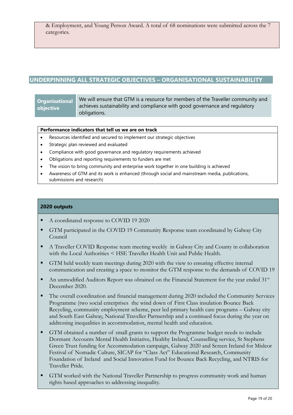## <span id="page-18-0"></span>**UNDERPINNING ALL STRATEGIC OBJECTIVES – ORGANISATIONAL SUSTAINABILITY**

## **Organisational objective**

We will ensure that GTM is a resource for members of the Traveller community and achieves sustainability and compliance with good governance and regulatory obligations.

## **Performance indicators that tell us we are on track**

- Resources identified and secured to implement our strategic objectives
- Strategic plan reviewed and evaluated
- Compliance with good governance and regulatory requirements achieved
- Obligations and reporting requirements to funders are met
- The vision to bring community and enterprise work together in one building is achieved
- Awareness of GTM and its work is enhanced (through social and mainstream media, publications, submissions and research)

## **2020 outputs**

- A coordinated response to COVID 19 2020
- **GTM participated in the COVID 19 Community Response team coordinated by Galway City** Council
- A Traveller COVID Response team meeting weekly in Galway City and County in collaboration with the Local Authorities < HSE Traveller Health Unit and Public Health.
- GTM held weekly team meetings during 2020 with the view to ensuring effective internal communication and creating a space to monitor the GTM response to the demands of COVID 19
- An unmodified Auditors Report was obtained on the Financial Statement for the year ended  $31<sup>st</sup>$ December 2020.
- The overall coordination and financial management during 2020 included the Community Services Programme (two social enterprises the wind down of First Class insulation Bounce Back Recycling, community employment scheme, peer led primary health care programs – Galway city and South East Galway, National Traveller Partnership and a continued focus during the year on addressing inequalities in accommodation, mental health and education.
- GTM obtained a number of small grants to support the Programme budget needs to include Dormant Accounts Mental Health Initiative, Healthy Ireland, Counselling service, St Stephens Green Trust funding for Accommodation campaign, Galway 2020 and Screen Ireland for Misleor Festival of Nomadic Culture, SICAP for "Class Act" Educational Research, Community Foundation of Ireland and Social Innovation Fund for Bounce Back Recycling, and NTRIS for Traveller Pride.
- GTM worked with the National Traveller Partnership to progress community work and human rights based approaches to addressing inequality.